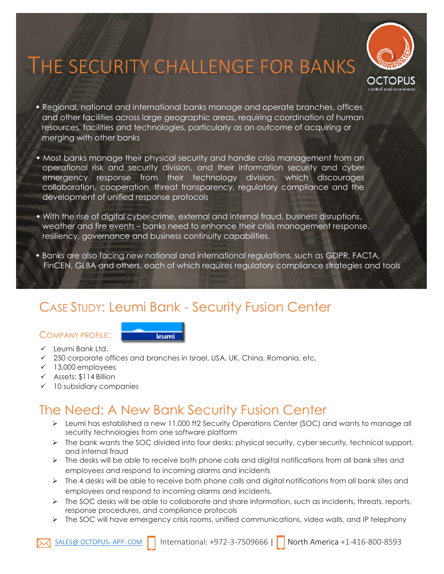# THE SECURITY CHALLENGE FOR BANKS



- Regional, national and international banks manage and operate branches, offices and other facilities across large geographic areas, requiring coordination of human resources, facilities and technologies, particularly as an outcome of acquiring or merging with other banks
- Most banks manage their physical security and handle crisis management from an operational risk and security division, and their information security and cyber emergency response from their technology division, which discourages collaboration, cooperation, threat transparency, regulatory compliance and the development of unified response protocols
- With the rise of digital cyber-crime, external and internal fraud, business disruptions, weather and fire events – banks need to enhance their crisis management response, resiliency, governance and business continuity capabilities.
- Banks are also facing new national and international regulations, such as GDPR, FACTA, FinCEN, GLBA and others, each of which requires regulatory compliance strategies and tools

## CASE STUDY: Leumi Bank - Security Fusion Center

### COMPANY PROFILE:



- ✓ Leumi Bank Ltd.
- $\checkmark$  250 corporate offices and branches in Israel, USA, UK, China, Romania, etc.
- ✓ 13,000 employees
- ✓ Assets: \$114 Billion
- ✓ 10 subsidiary companies

### The Need: A New Bank Security Fusion Center

- ➢ Leumi has established a new 11,000 ft2 Security Operations Center (SOC) and wants to manage all security technologies from one software platform
- ➢ The bank wants the SOC divided into four desks: physical security, cyber security, technical support, and internal fraud
- $\triangleright$  The desks will be able to receive both phone calls and digital notifications from all bank sites and employees and respond to incoming alarms and incidents
- $\triangleright$  The 4 desks will be able to receive both phone calls and digital notifications from all bank sites and employees and respond to incoming alarms and incidents.
- $\triangleright$  The SOC desks will be able to collaborate and share information, such as incidents, threats, reports, response procedures, and compliance protocols
- ➢ The SOC will have emergency crisis rooms, unified communications, video walls, and IP telephony